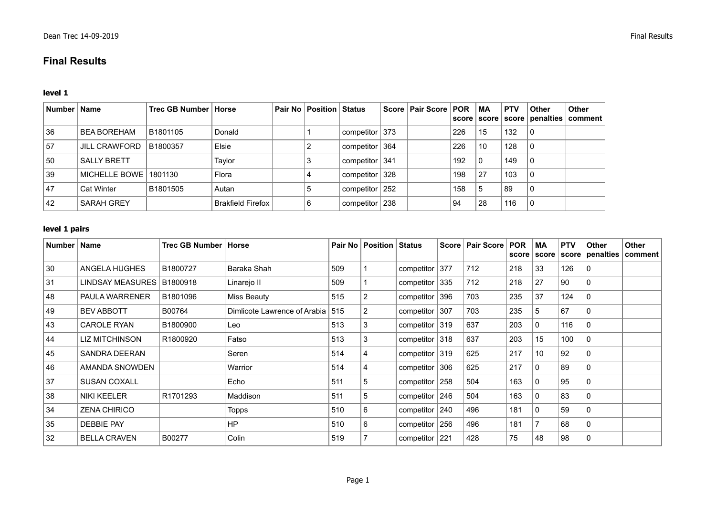# **Final Results**

#### **level 1**

| Number   Name |                      | Trec GB Number   Horse |                          | Pair No   Position   Status |                    |     | Score   Pair Score   POR |     | MA           | <b>PTV</b> | <b>Other</b> | <b>Other</b><br>score   score   score   penalties   comment |
|---------------|----------------------|------------------------|--------------------------|-----------------------------|--------------------|-----|--------------------------|-----|--------------|------------|--------------|-------------------------------------------------------------|
| 36            | <b>BEA BOREHAM</b>   | B1801105               | Donald                   |                             | competitor   373   |     |                          | 226 | 15           | 132        |              |                                                             |
| 57            | <b>JILL CRAWFORD</b> | B1800357               | Elsie                    |                             | competitor $ 364 $ |     |                          | 226 | 10           | 128        | U            |                                                             |
| 50            | <b>SALLY BRETT</b>   |                        | Taylor                   |                             | competitor $ 341$  |     |                          | 192 | $\mathbf{0}$ | 149        | 0            |                                                             |
| 39            | MICHELLE BOWE        | 1801130                | Flora                    |                             | competitor 328     |     |                          | 198 | 27           | 103        | 0            |                                                             |
| 47            | <b>Cat Winter</b>    | B1801505               | Autan                    |                             | competitor $ 252 $ |     |                          | 158 | 5            | 89         | 0            |                                                             |
| 42            | <b>SARAH GREY</b>    |                        | <b>Brakfield Firefox</b> |                             | competitor         | 238 |                          | 94  | 28           | 116        | 0            |                                                             |

### **level 1 pairs**

| Number   Name |                         | Trec GB Number   Horse |                                    | Pair No | <b>Position Status</b> |                    | <b>Score</b> | <b>Pair Score</b> | <b>POR</b><br>score | MA<br>score | <b>PTV</b> | Other<br>score penalties | <b>Other</b><br>comment |
|---------------|-------------------------|------------------------|------------------------------------|---------|------------------------|--------------------|--------------|-------------------|---------------------|-------------|------------|--------------------------|-------------------------|
| 30            | ANGELA HUGHES           | B1800727               | Baraka Shah                        | 509     |                        | competitor         | 377          | 712               | 218                 | 33          | 126        | $\Omega$                 |                         |
| 31            | <b>LINDSAY MEASURES</b> | B1800918               | Linarejo II                        | 509     |                        | competitor 335     |              | 712               | 218                 | 27          | 90         | $\Omega$                 |                         |
| 48            | <b>PAULA WARRENER</b>   | B1801096               | Miss Beauty                        | 515     | $\overline{2}$         | competitor         | 396          | 703               | 235                 | 37          | 124        | 0                        |                         |
| 49            | <b>BEV ABBOTT</b>       | B00764                 | Dimlicote Lawrence of Arabia   515 |         | 2                      | competitor $ 307$  |              | 703               | 235                 | 5           | 67         | $\Omega$                 |                         |
| 43            | <b>CAROLE RYAN</b>      | B1800900               | Leo                                | 513     | 3                      | competitor 319     |              | 637               | 203                 | O           | 116        |                          |                         |
| 44            | LIZ MITCHINSON          | R1800920               | Fatso                              | 513     | 3                      | competitor 318     |              | 637               | 203                 | 15          | 100        | $\Omega$                 |                         |
| 45            | <b>SANDRA DEERAN</b>    |                        | Seren                              | 514     | 4                      | competitor 319     |              | 625               | 217                 | 10          | 92         | $\Omega$                 |                         |
| 46            | AMANDA SNOWDEN          |                        | Warrior                            | 514     | 4                      | competitor $ 306 $ |              | 625               | 217                 | 0           | 89         |                          |                         |
| 37            | <b>SUSAN COXALL</b>     |                        | Echo                               | 511     | 5                      | competitor $ 258$  |              | 504               | 163                 | 0           | 95         | $\Omega$                 |                         |
| 38            | NIKI KEELER             | R1701293               | Maddison                           | 511     | 5                      | competitor $246$   |              | 504               | 163                 | 0           | 83         |                          |                         |
| 34            | <b>ZENA CHIRICO</b>     |                        | Topps                              | 510     | 6                      | competitor   240   |              | 496               | 181                 | 0           | 59         | $\Omega$                 |                         |
| 35            | <b>DEBBIE PAY</b>       |                        | HP                                 | 510     | 6                      | componentor        | 256          | 496               | 181                 |             | 68         | $\Omega$                 |                         |
| 32            | <b>BELLA CRAVEN</b>     | B00277                 | Colin                              | 519     |                        | competitor $221$   |              | 428               | 75                  | 48          | 98         | $\Omega$                 |                         |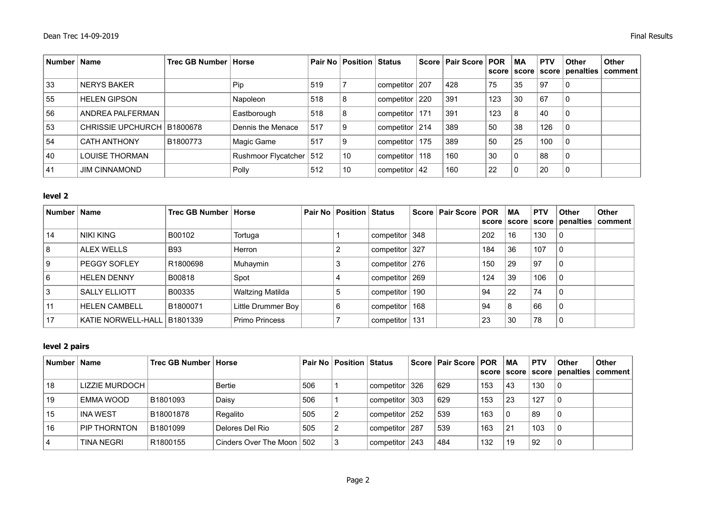| Number   Name |                              | Trec GB Number   Horse |                         |     | <b>Pair No   Position   Status</b> |                  | Score   Pair Score   POR |     | <b>MA</b><br>score score | <b>PTV</b> | <b>Other</b> | Other<br>score   penalties   comment |
|---------------|------------------------------|------------------------|-------------------------|-----|------------------------------------|------------------|--------------------------|-----|--------------------------|------------|--------------|--------------------------------------|
| 33            | <b>NERYS BAKER</b>           |                        | Pip }                   | 519 |                                    | competitor   207 | 428                      | 75  | 35                       | 97         | 0            |                                      |
| 55            | <b>HELEN GIPSON</b>          |                        | Napoleon                | 518 | 8                                  | competitor 220   | 391                      | 123 | 30                       | 67         | 0            |                                      |
| 56            | ANDREA PALFERMAN             |                        | Eastborough             | 518 | 8                                  | competitor   171 | 391                      | 123 | 8                        | 40         | 0            |                                      |
| 53            | CHRISSIE UPCHURCH   B1800678 |                        | Dennis the Menace       | 517 | 9                                  | competitor   214 | 389                      | 50  | 38                       | 126        |              |                                      |
| 54            | <b>CATH ANTHONY</b>          | B1800773               | Magic Game              | 517 | 9                                  | competitor 175   | 389                      | 50  | 25                       | 100        |              |                                      |
| 40            | <b>LOUISE THORMAN</b>        |                        | Rushmoor Flycatcher 512 |     | 10                                 | competitor 118   | 160                      | 30  | l 0                      | 88         | 0            |                                      |
| 41            | <b>JIM CINNAMOND</b>         |                        | Polly                   | 512 | 10                                 | competitor $ 42$ | 160                      | 22  | $\overline{0}$           | 20         | 0            |                                      |

### **level 2**

| Number   Name |                             | Trec GB Number   Horse |                       | <b>Pair No   Position   Status</b> |                  | Score   Pair Score   POR   MA |     |    | <b>PTV</b> | <b>Other</b>   | Other<br>score   score   score   penalties   comment |
|---------------|-----------------------------|------------------------|-----------------------|------------------------------------|------------------|-------------------------------|-----|----|------------|----------------|------------------------------------------------------|
| 14            | NIKI KING                   | B00102                 | Tortuga               |                                    | competitor 348   |                               | 202 | 16 | 130        | $\mathbf{0}$   |                                                      |
| 8             | <b>ALEX WELLS</b>           | <b>B93</b>             | Herron                | $\overline{2}$                     | competitor 327   |                               | 184 | 36 | 107        | $\Omega$       |                                                      |
| 9             | PEGGY SOFLEY                | R1800698               | Muhaymin              | 3                                  | competitor   276 |                               | 150 | 29 | 97         | $\mathbf{0}$   |                                                      |
| 6             | <b>HELEN DENNY</b>          | B00818                 | Spot                  | 4                                  | competitor $269$ |                               | 124 | 39 | 106        | $\Omega$       |                                                      |
|               | <b>SALLY ELLIOTT</b>        | B00335                 | Waltzing Matilda      | 5                                  | competitor   190 |                               | 94  | 22 | 74         | $\overline{0}$ |                                                      |
|               | <b>HELEN CAMBELL</b>        | B1800071               | Little Drummer Boy    | 6                                  | competitor 168   |                               | 94  | 8  | 66         | $\Omega$       |                                                      |
| 17            | KATIE NORWELL-HALL B1801339 |                        | <b>Primo Princess</b> |                                    | competitor   131 |                               | 23  | 30 | 78         | 0              |                                                      |

## **level 2 pairs**

| <b>Number</b> | Name              | Trec GB Number   Horse |                             |     | <b>Pair No Position Status</b> |                  | Score   Pair Score   POR   MA |     | score   score | <b>PTV</b> | <b>Other</b> | <b>Other</b><br>  score   penalties   comment |
|---------------|-------------------|------------------------|-----------------------------|-----|--------------------------------|------------------|-------------------------------|-----|---------------|------------|--------------|-----------------------------------------------|
| 18            | LIZZIE MURDOCH    |                        | <b>Bertie</b>               | 506 |                                | competitor   326 | 629                           | 153 | 43            | 130        |              |                                               |
| 19            | EMMA WOOD         | B1801093               | Daisy                       | 506 |                                | competitor   303 | 629                           | 153 | 23            | 127        |              |                                               |
| 15            | <b>INA WEST</b>   | B18001878              | Regalito                    | 505 |                                | competitor   252 | 539                           | 163 | $\Omega$      | 89         | 0            |                                               |
| 16            | PIP THORNTON      | B1801099               | Delores Del Rio             | 505 |                                | competitor   287 | 539                           | 163 | 21            | 103        |              |                                               |
| 4             | <b>TINA NEGRI</b> | R <sub>1800155</sub>   | Cinders Over The Moon   502 |     |                                | competitor   243 | 484                           | 132 | 19            | 92         | 0            |                                               |